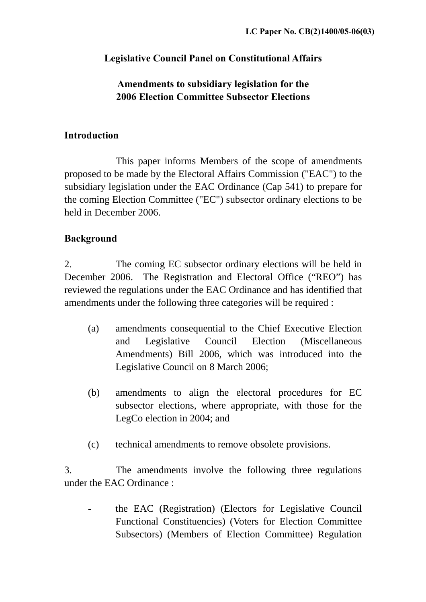# **Legislative Council Panel on Constitutional Affairs**

# **Amendments to subsidiary legislation for the 2006 Election Committee Subsector Elections**

#### **Introduction**

 This paper informs Members of the scope of amendments proposed to be made by the Electoral Affairs Commission ("EAC") to the subsidiary legislation under the EAC Ordinance (Cap 541) to prepare for the coming Election Committee ("EC") subsector ordinary elections to be held in December 2006.

# **Background**

2. The coming EC subsector ordinary elections will be held in December 2006. The Registration and Electoral Office ("REO") has reviewed the regulations under the EAC Ordinance and has identified that amendments under the following three categories will be required :

- (a) amendments consequential to the Chief Executive Election and Legislative Council Election (Miscellaneous Amendments) Bill 2006, which was introduced into the Legislative Council on 8 March 2006;
- (b) amendments to align the electoral procedures for EC subsector elections, where appropriate, with those for the LegCo election in 2004; and
- (c) technical amendments to remove obsolete provisions.

3. The amendments involve the following three regulations under the EAC Ordinance :

- the EAC (Registration) (Electors for Legislative Council Functional Constituencies) (Voters for Election Committee Subsectors) (Members of Election Committee) Regulation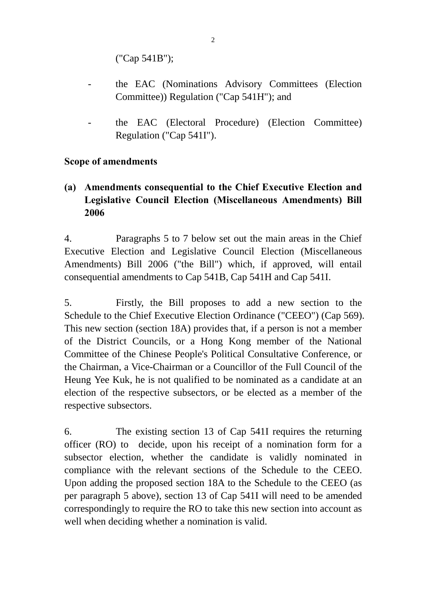("Cap 541B");

- the EAC (Nominations Advisory Committees (Election Committee)) Regulation ("Cap 541H"); and
- the EAC (Electoral Procedure) (Election Committee) Regulation ("Cap 541I").

#### **Scope of amendments**

**(a) Amendments consequential to the Chief Executive Election and Legislative Council Election (Miscellaneous Amendments) Bill 2006** 

4. Paragraphs 5 to 7 below set out the main areas in the Chief Executive Election and Legislative Council Election (Miscellaneous Amendments) Bill 2006 ("the Bill") which, if approved, will entail consequential amendments to Cap 541B, Cap 541H and Cap 541I.

5. Firstly, the Bill proposes to add a new section to the Schedule to the Chief Executive Election Ordinance ("CEEO") (Cap 569). This new section (section 18A) provides that, if a person is not a member of the District Councils, or a Hong Kong member of the National Committee of the Chinese People's Political Consultative Conference, or the Chairman, a Vice-Chairman or a Councillor of the Full Council of the Heung Yee Kuk, he is not qualified to be nominated as a candidate at an election of the respective subsectors, or be elected as a member of the respective subsectors.

6. The existing section 13 of Cap 541I requires the returning officer (RO) to decide, upon his receipt of a nomination form for a subsector election, whether the candidate is validly nominated in compliance with the relevant sections of the Schedule to the CEEO. Upon adding the proposed section 18A to the Schedule to the CEEO (as per paragraph 5 above), section 13 of Cap 541I will need to be amended correspondingly to require the RO to take this new section into account as well when deciding whether a nomination is valid.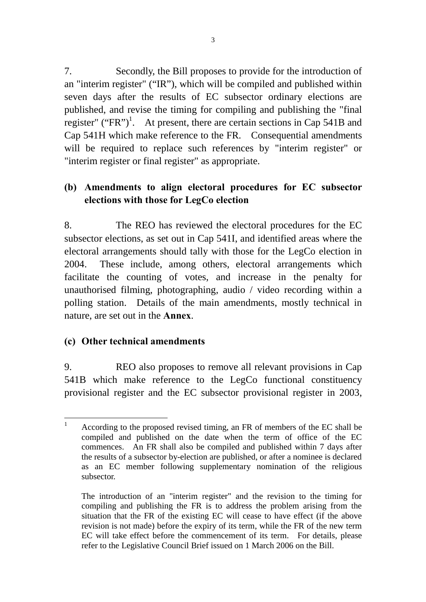7. Secondly, the Bill proposes to provide for the introduction of an "interim register" ("IR"), which will be compiled and published within seven days after the results of EC subsector ordinary elections are published, and revise the timing for compiling and publishing the "final register" ("FR")<sup>1</sup>. At present, there are certain sections in Cap 541B and Cap 541H which make reference to the FR. Consequential amendments will be required to replace such references by "interim register" or "interim register or final register" as appropriate.

## **(b) Amendments to align electoral procedures for EC subsector elections with those for LegCo election**

8. The REO has reviewed the electoral procedures for the EC subsector elections, as set out in Cap 541I, and identified areas where the electoral arrangements should tally with those for the LegCo election in 2004. These include, among others, electoral arrangements which facilitate the counting of votes, and increase in the penalty for unauthorised filming, photographing, audio / video recording within a polling station. Details of the main amendments, mostly technical in nature, are set out in the **Annex**.

## **(c) Other technical amendments**

9. REO also proposes to remove all relevant provisions in Cap 541B which make reference to the LegCo functional constituency provisional register and the EC subsector provisional register in 2003,

 $\frac{1}{1}$  According to the proposed revised timing, an FR of members of the EC shall be compiled and published on the date when the term of office of the EC commences. An FR shall also be compiled and published within 7 days after the results of a subsector by-election are published, or after a nominee is declared as an EC member following supplementary nomination of the religious subsector.

The introduction of an "interim register" and the revision to the timing for compiling and publishing the FR is to address the problem arising from the situation that the FR of the existing EC will cease to have effect (if the above revision is not made) before the expiry of its term, while the FR of the new term EC will take effect before the commencement of its term. For details, please refer to the Legislative Council Brief issued on 1 March 2006 on the Bill.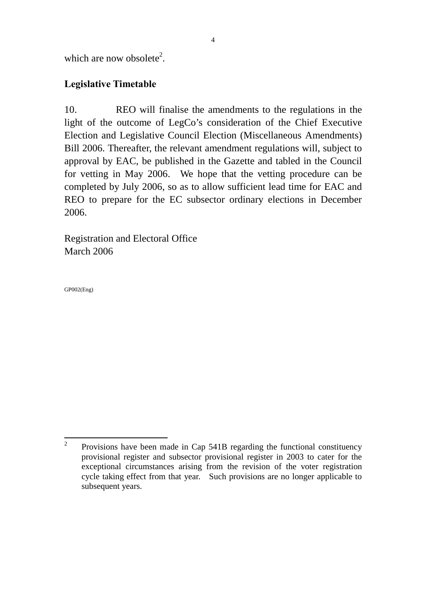which are now obsolete<sup>2</sup>.

## **Legislative Timetable**

10. REO will finalise the amendments to the regulations in the light of the outcome of LegCo's consideration of the Chief Executive Election and Legislative Council Election (Miscellaneous Amendments) Bill 2006. Thereafter, the relevant amendment regulations will, subject to approval by EAC, be published in the Gazette and tabled in the Council for vetting in May 2006. We hope that the vetting procedure can be completed by July 2006, so as to allow sufficient lead time for EAC and REO to prepare for the EC subsector ordinary elections in December 2006.

Registration and Electoral Office March 2006

GP002(Eng)

 $\frac{1}{2}$  Provisions have been made in Cap 541B regarding the functional constituency provisional register and subsector provisional register in 2003 to cater for the exceptional circumstances arising from the revision of the voter registration cycle taking effect from that year. Such provisions are no longer applicable to subsequent years.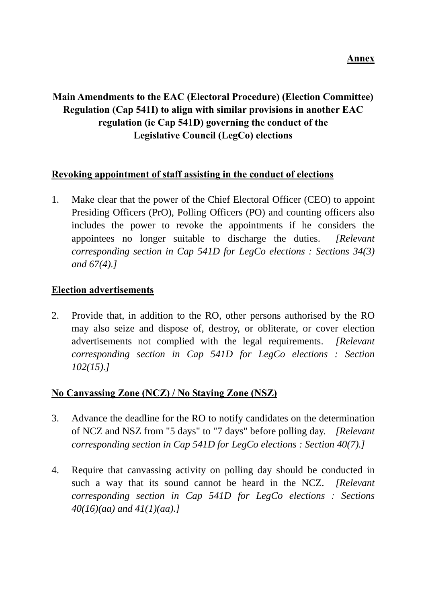# **Main Amendments to the EAC (Electoral Procedure) (Election Committee) Regulation (Cap 541I) to align with similar provisions in another EAC regulation (ie Cap 541D) governing the conduct of the Legislative Council (LegCo) elections**

#### **Revoking appointment of staff assisting in the conduct of elections**

1. Make clear that the power of the Chief Electoral Officer (CEO) to appoint Presiding Officers (PrO), Polling Officers (PO) and counting officers also includes the power to revoke the appointments if he considers the appointees no longer suitable to discharge the duties. *[Relevant corresponding section in Cap 541D for LegCo elections : Sections 34(3) and 67(4).]*

## **Election advertisements**

2. Provide that, in addition to the RO, other persons authorised by the RO may also seize and dispose of, destroy, or obliterate, or cover election advertisements not complied with the legal requirements. *[Relevant corresponding section in Cap 541D for LegCo elections : Section 102(15).]*

## **No Canvassing Zone (NCZ) / No Staying Zone (NSZ)**

- 3. Advance the deadline for the RO to notify candidates on the determination of NCZ and NSZ from "5 days" to "7 days" before polling day. *[Relevant corresponding section in Cap 541D for LegCo elections : Section 40(7).]*
- 4. Require that canvassing activity on polling day should be conducted in such a way that its sound cannot be heard in the NCZ. *[Relevant corresponding section in Cap 541D for LegCo elections : Sections 40(16)(aa) and 41(1)(aa).]*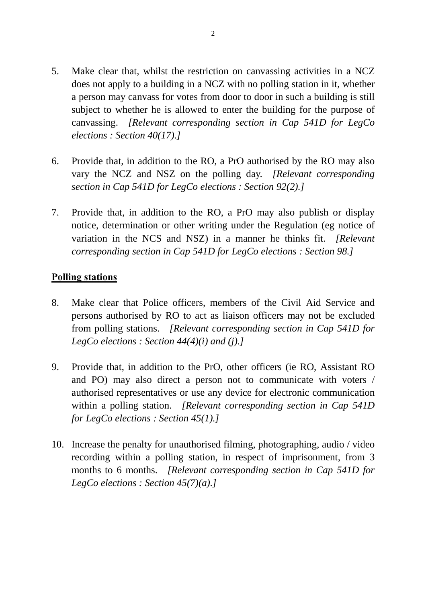- 5. Make clear that, whilst the restriction on canvassing activities in a NCZ does not apply to a building in a NCZ with no polling station in it, whether a person may canvass for votes from door to door in such a building is still subject to whether he is allowed to enter the building for the purpose of canvassing. *[Relevant corresponding section in Cap 541D for LegCo elections : Section 40(17).]*
- 6. Provide that, in addition to the RO, a PrO authorised by the RO may also vary the NCZ and NSZ on the polling day. *[Relevant corresponding section in Cap 541D for LegCo elections : Section 92(2).]*
- 7. Provide that, in addition to the RO, a PrO may also publish or display notice, determination or other writing under the Regulation (eg notice of variation in the NCS and NSZ) in a manner he thinks fit. *[Relevant corresponding section in Cap 541D for LegCo elections : Section 98.]*

#### **Polling stations**

- 8. Make clear that Police officers, members of the Civil Aid Service and persons authorised by RO to act as liaison officers may not be excluded from polling stations. *[Relevant corresponding section in Cap 541D for LegCo elections : Section 44(4)(i) and (j).]*
- 9. Provide that, in addition to the PrO, other officers (ie RO, Assistant RO and PO) may also direct a person not to communicate with voters / authorised representatives or use any device for electronic communication within a polling station. *[Relevant corresponding section in Cap 541D for LegCo elections : Section 45(1).]*
- 10. Increase the penalty for unauthorised filming, photographing, audio / video recording within a polling station, in respect of imprisonment, from 3 months to 6 months. *[Relevant corresponding section in Cap 541D for LegCo elections : Section 45(7)(a).]*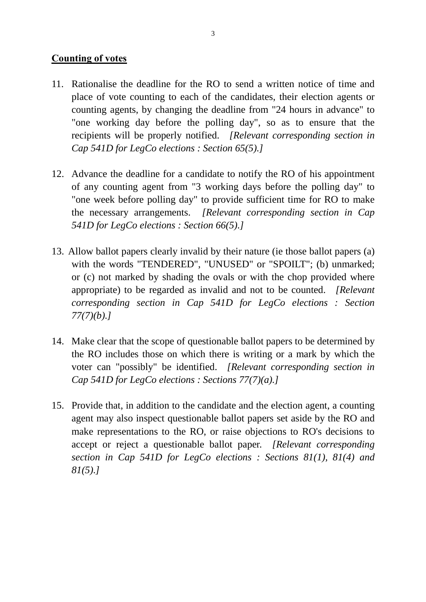#### **Counting of votes**

- 11. Rationalise the deadline for the RO to send a written notice of time and place of vote counting to each of the candidates, their election agents or counting agents, by changing the deadline from "24 hours in advance" to "one working day before the polling day", so as to ensure that the recipients will be properly notified. *[Relevant corresponding section in Cap 541D for LegCo elections : Section 65(5).]*
- 12. Advance the deadline for a candidate to notify the RO of his appointment of any counting agent from "3 working days before the polling day" to "one week before polling day" to provide sufficient time for RO to make the necessary arrangements. *[Relevant corresponding section in Cap 541D for LegCo elections : Section 66(5).]*
- 13. Allow ballot papers clearly invalid by their nature (ie those ballot papers (a) with the words "TENDERED", "UNUSED" or "SPOILT"; (b) unmarked; or (c) not marked by shading the ovals or with the chop provided where appropriate) to be regarded as invalid and not to be counted. *[Relevant corresponding section in Cap 541D for LegCo elections : Section 77(7)(b).]*
- 14. Make clear that the scope of questionable ballot papers to be determined by the RO includes those on which there is writing or a mark by which the voter can "possibly" be identified. *[Relevant corresponding section in Cap 541D for LegCo elections : Sections 77(7)(a).]*
- 15. Provide that, in addition to the candidate and the election agent, a counting agent may also inspect questionable ballot papers set aside by the RO and make representations to the RO, or raise objections to RO's decisions to accept or reject a questionable ballot paper. *[Relevant corresponding section in Cap 541D for LegCo elections : Sections 81(1), 81(4) and 81(5).]*